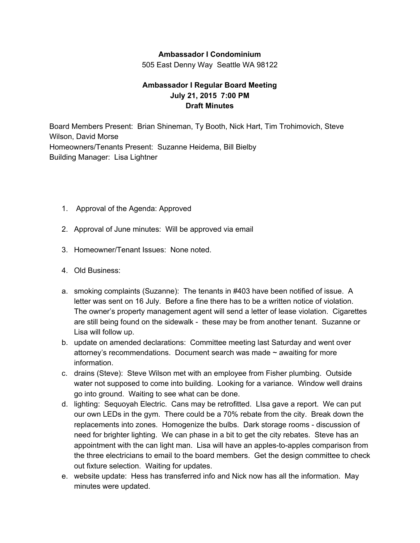## **Ambassador I Condominium**

505 East Denny Way Seattle WA 98122

## **Ambassador I Regular Board Meeting July 21, 2015 7:00 PM Draft Minutes**

Board Members Present: Brian Shineman, Ty Booth, Nick Hart, Tim Trohimovich, Steve Wilson, David Morse Homeowners/Tenants Present: Suzanne Heidema, Bill Bielby Building Manager: Lisa Lightner

- 1. Approval of the Agenda: Approved
- 2. Approval of June minutes: Will be approved via email
- 3. Homeowner/Tenant Issues: None noted.
- 4. Old Business:
- a. smoking complaints (Suzanne): The tenants in #403 have been notified of issue. A letter was sent on 16 July. Before a fine there has to be a written notice of violation. The owner's property management agent will send a letter of lease violation. Cigarettes are still being found on the sidewalk - these may be from another tenant. Suzanne or Lisa will follow up.
- b. update on amended declarations: Committee meeting last Saturday and went over attorney's recommendations. Document search was made  $\sim$  awaiting for more information.
- c. drains (Steve): Steve Wilson met with an employee from Fisher plumbing. Outside water not supposed to come into building. Looking for a variance. Window well drains go into ground. Waiting to see what can be done.
- d. lighting: Sequoyah Electric. Cans may be retrofitted. LIsa gave a report. We can put our own LEDs in the gym. There could be a 70% rebate from the city. Break down the replacements into zones. Homogenize the bulbs. Dark storage rooms - discussion of need for brighter lighting. We can phase in a bit to get the city rebates. Steve has an appointment with the can light man. Lisa will have an apples-to-apples comparison from the three electricians to email to the board members. Get the design committee to check out fixture selection. Waiting for updates.
- e. website update: Hess has transferred info and Nick now has all the information. May minutes were updated.